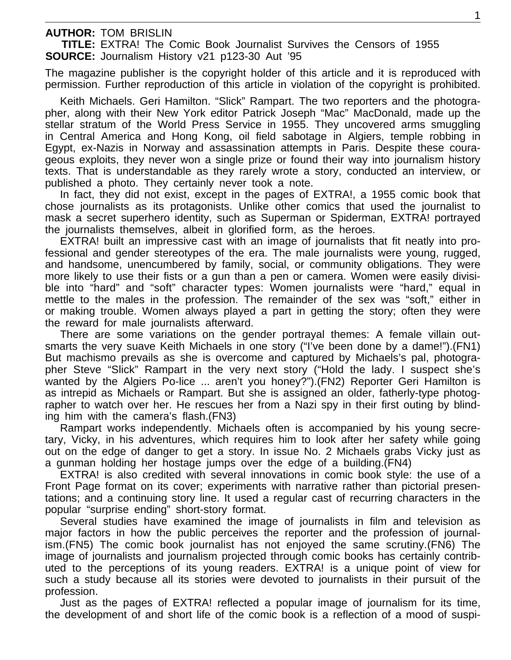**AUTHOR:** TOM BRISLIN

**TITLE:** EXTRA! The Comic Book Journalist Survives the Censors of 1955 **SOURCE:** Journalism History v21 p123-30 Aut '95

The magazine publisher is the copyright holder of this article and it is reproduced with permission. Further reproduction of this article in violation of the copyright is prohibited.

Keith Michaels. Geri Hamilton. "Slick" Rampart. The two reporters and the photographer, along with their New York editor Patrick Joseph "Mac" MacDonald, made up the stellar stratum of the World Press Service in 1955. They uncovered arms smuggling in Central America and Hong Kong, oil field sabotage in Algiers, temple robbing in Egypt, ex-Nazis in Norway and assassination attempts in Paris. Despite these courageous exploits, they never won a single prize or found their way into journalism history texts. That is understandable as they rarely wrote a story, conducted an interview, or published a photo. They certainly never took a note.

In fact, they did not exist, except in the pages of EXTRA!, a 1955 comic book that chose journalists as its protagonists. Unlike other comics that used the journalist to mask a secret superhero identity, such as Superman or Spiderman, EXTRA! portrayed the journalists themselves, albeit in glorified form, as the heroes.

EXTRA! built an impressive cast with an image of journalists that fit neatly into professional and gender stereotypes of the era. The male journalists were young, rugged, and handsome, unencumbered by family, social, or community obligations. They were more likely to use their fists or a gun than a pen or camera. Women were easily divisible into "hard" and "soft" character types: Women journalists were "hard," equal in mettle to the males in the profession. The remainder of the sex was "soft," either in or making trouble. Women always played a part in getting the story; often they were the reward for male journalists afterward.

There are some variations on the gender portrayal themes: A female villain outsmarts the very suave Keith Michaels in one story ("I've been done by a dame!").(FN1) But machismo prevails as she is overcome and captured by Michaels's pal, photographer Steve "Slick" Rampart in the very next story ("Hold the lady. I suspect she's wanted by the Algiers Po-lice ... aren't you honey?").(FN2) Reporter Geri Hamilton is as intrepid as Michaels or Rampart. But she is assigned an older, fatherly-type photographer to watch over her. He rescues her from a Nazi spy in their first outing by blinding him with the camera's flash.(FN3)

Rampart works independently. Michaels often is accompanied by his young secretary, Vicky, in his adventures, which requires him to look after her safety while going out on the edge of danger to get a story. In issue No. 2 Michaels grabs Vicky just as a gunman holding her hostage jumps over the edge of a building.(FN4)

EXTRA! is also credited with several innovations in comic book style: the use of a Front Page format on its cover; experiments with narrative rather than pictorial presentations; and a continuing story line. It used a regular cast of recurring characters in the popular "surprise ending" short-story format.

Several studies have examined the image of journalists in film and television as major factors in how the public perceives the reporter and the profession of journalism.(FN5) The comic book journalist has not enjoyed the same scrutiny.(FN6) The image of journalists and journalism projected through comic books has certainly contributed to the perceptions of its young readers. EXTRA! is a unique point of view for such a study because all its stories were devoted to journalists in their pursuit of the profession.

Just as the pages of EXTRA! reflected a popular image of journalism for its time, the development of and short life of the comic book is a reflection of a mood of suspi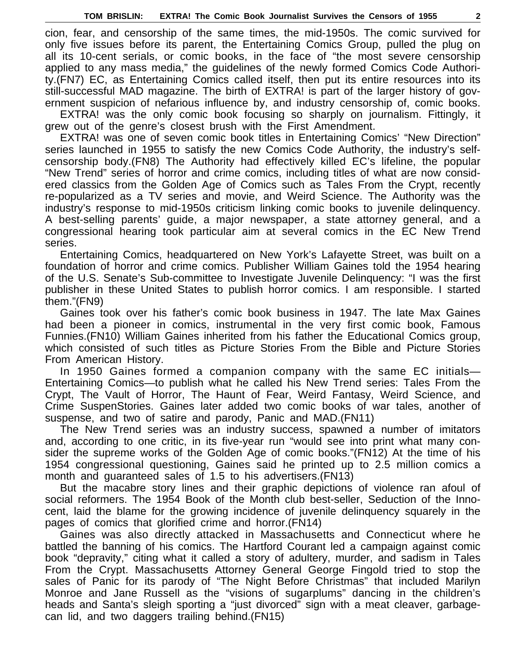cion, fear, and censorship of the same times, the mid-1950s. The comic survived for only five issues before its parent, the Entertaining Comics Group, pulled the plug on all its 10-cent serials, or comic books, in the face of "the most severe censorship applied to any mass media," the guidelines of the newly formed Comics Code Authority.(FN7) EC, as Entertaining Comics called itself, then put its entire resources into its still-successful MAD magazine. The birth of EXTRA! is part of the larger history of government suspicion of nefarious influence by, and industry censorship of, comic books.

EXTRA! was the only comic book focusing so sharply on journalism. Fittingly, it grew out of the genre's closest brush with the First Amendment.

EXTRA! was one of seven comic book titles in Entertaining Comics' "New Direction" series launched in 1955 to satisfy the new Comics Code Authority, the industry's selfcensorship body.(FN8) The Authority had effectively killed EC's lifeline, the popular "New Trend" series of horror and crime comics, including titles of what are now considered classics from the Golden Age of Comics such as Tales From the Crypt, recently re-popularized as a TV series and movie, and Weird Science. The Authority was the industry's response to mid-1950s criticism linking comic books to juvenile delinquency. A best-selling parents' guide, a major newspaper, a state attorney general, and a congressional hearing took particular aim at several comics in the EC New Trend series.

Entertaining Comics, headquartered on New York's Lafayette Street, was built on a foundation of horror and crime comics. Publisher William Gaines told the 1954 hearing of the U.S. Senate's Sub-committee to Investigate Juvenile Delinquency: "I was the first publisher in these United States to publish horror comics. I am responsible. I started them."(FN9)

Gaines took over his father's comic book business in 1947. The late Max Gaines had been a pioneer in comics, instrumental in the very first comic book, Famous Funnies.(FN10) William Gaines inherited from his father the Educational Comics group, which consisted of such titles as Picture Stories From the Bible and Picture Stories From American History.

In 1950 Gaines formed a companion company with the same EC initials— Entertaining Comics—to publish what he called his New Trend series: Tales From the Crypt, The Vault of Horror, The Haunt of Fear, Weird Fantasy, Weird Science, and Crime SuspenStories. Gaines later added two comic books of war tales, another of suspense, and two of satire and parody, Panic and MAD.(FN11)

The New Trend series was an industry success, spawned a number of imitators and, according to one critic, in its five-year run "would see into print what many consider the supreme works of the Golden Age of comic books."(FN12) At the time of his 1954 congressional questioning, Gaines said he printed up to 2.5 million comics a month and guaranteed sales of 1.5 to his advertisers.(FN13)

But the macabre story lines and their graphic depictions of violence ran afoul of social reformers. The 1954 Book of the Month club best-seller, Seduction of the Innocent, laid the blame for the growing incidence of juvenile delinquency squarely in the pages of comics that glorified crime and horror.(FN14)

Gaines was also directly attacked in Massachusetts and Connecticut where he battled the banning of his comics. The Hartford Courant led a campaign against comic book "depravity," citing what it called a story of adultery, murder, and sadism in Tales From the Crypt. Massachusetts Attorney General George Fingold tried to stop the sales of Panic for its parody of "The Night Before Christmas" that included Marilyn Monroe and Jane Russell as the "visions of sugarplums" dancing in the children's heads and Santa's sleigh sporting a "just divorced" sign with a meat cleaver, garbagecan lid, and two daggers trailing behind.(FN15)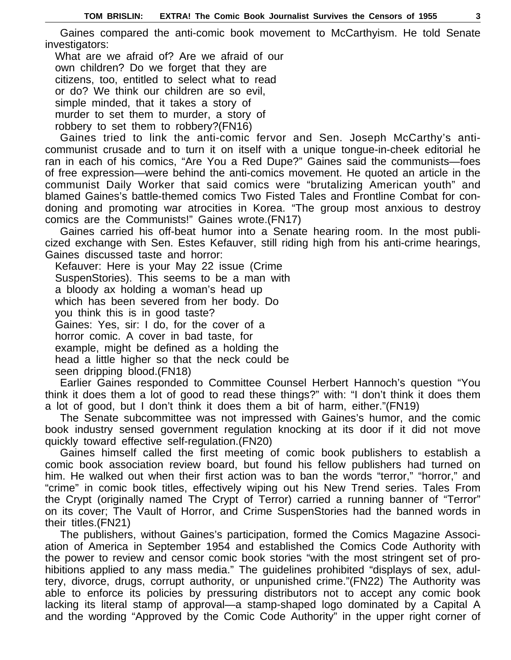Gaines compared the anti-comic book movement to McCarthyism. He told Senate investigators:

What are we afraid of? Are we afraid of our own children? Do we forget that they are citizens, too, entitled to select what to read or do? We think our children are so evil, simple minded, that it takes a story of murder to set them to murder, a story of robbery to set them to robbery?(FN16)

Gaines tried to link the anti-comic fervor and Sen. Joseph McCarthy's anticommunist crusade and to turn it on itself with a unique tongue-in-cheek editorial he ran in each of his comics, "Are You a Red Dupe?" Gaines said the communists—foes of free expression—were behind the anti-comics movement. He quoted an article in the communist Daily Worker that said comics were "brutalizing American youth" and blamed Gaines's battle-themed comics Two Fisted Tales and Frontline Combat for condoning and promoting war atrocities in Korea. "The group most anxious to destroy comics are the Communists!" Gaines wrote.(FN17)

Gaines carried his off-beat humor into a Senate hearing room. In the most publicized exchange with Sen. Estes Kefauver, still riding high from his anti-crime hearings, Gaines discussed taste and horror:

Kefauver: Here is your May 22 issue (Crime SuspenStories). This seems to be a man with a bloody ax holding a woman's head up which has been severed from her body. Do you think this is in good taste? Gaines: Yes, sir: I do, for the cover of a horror comic. A cover in bad taste, for example, might be defined as a holding the head a little higher so that the neck could be seen dripping blood.(FN18)

Earlier Gaines responded to Committee Counsel Herbert Hannoch's question "You think it does them a lot of good to read these things?" with: "I don't think it does them a lot of good, but I don't think it does them a bit of harm, either."(FN19)

The Senate subcommittee was not impressed with Gaines's humor, and the comic book industry sensed government regulation knocking at its door if it did not move quickly toward effective self-regulation.(FN20)

Gaines himself called the first meeting of comic book publishers to establish a comic book association review board, but found his fellow publishers had turned on him. He walked out when their first action was to ban the words "terror," "horror," and "crime" in comic book titles, effectively wiping out his New Trend series. Tales From the Crypt (originally named The Crypt of Terror) carried a running banner of "Terror" on its cover; The Vault of Horror, and Crime SuspenStories had the banned words in their titles.(FN21)

The publishers, without Gaines's participation, formed the Comics Magazine Association of America in September 1954 and established the Comics Code Authority with the power to review and censor comic book stories "with the most stringent set of prohibitions applied to any mass media." The guidelines prohibited "displays of sex, adultery, divorce, drugs, corrupt authority, or unpunished crime."(FN22) The Authority was able to enforce its policies by pressuring distributors not to accept any comic book lacking its literal stamp of approval—a stamp-shaped logo dominated by a Capital A and the wording "Approved by the Comic Code Authority" in the upper right corner of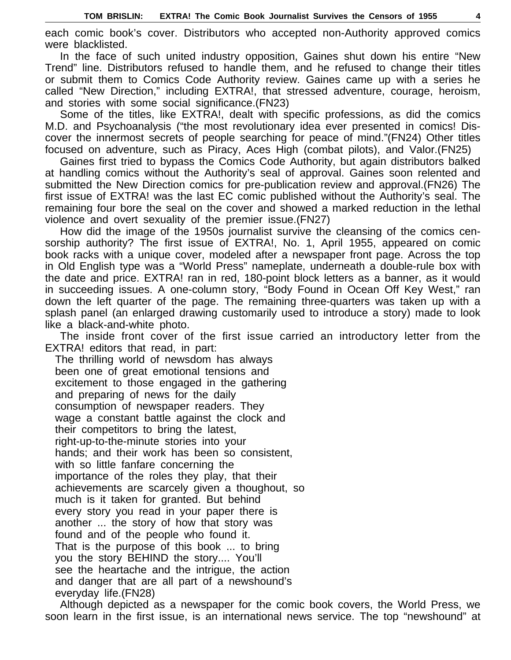each comic book's cover. Distributors who accepted non-Authority approved comics were blacklisted.

In the face of such united industry opposition, Gaines shut down his entire "New Trend" line. Distributors refused to handle them, and he refused to change their titles or submit them to Comics Code Authority review. Gaines came up with a series he called "New Direction," including EXTRA!, that stressed adventure, courage, heroism, and stories with some social significance.(FN23)

Some of the titles, like EXTRA!, dealt with specific professions, as did the comics M.D. and Psychoanalysis ("the most revolutionary idea ever presented in comics! Discover the innermost secrets of people searching for peace of mind."(FN24) Other titles focused on adventure, such as Piracy, Aces High (combat pilots), and Valor.(FN25)

Gaines first tried to bypass the Comics Code Authority, but again distributors balked at handling comics without the Authority's seal of approval. Gaines soon relented and submitted the New Direction comics for pre-publication review and approval.(FN26) The first issue of EXTRA! was the last EC comic published without the Authority's seal. The remaining four bore the seal on the cover and showed a marked reduction in the lethal violence and overt sexuality of the premier issue.(FN27)

How did the image of the 1950s journalist survive the cleansing of the comics censorship authority? The first issue of EXTRA!, No. 1, April 1955, appeared on comic book racks with a unique cover, modeled after a newspaper front page. Across the top in Old English type was a "World Press" nameplate, underneath a double-rule box with the date and price. EXTRA! ran in red, 180-point block letters as a banner, as it would in succeeding issues. A one-column story, "Body Found in Ocean Off Key West," ran down the left quarter of the page. The remaining three-quarters was taken up with a splash panel (an enlarged drawing customarily used to introduce a story) made to look like a black-and-white photo.

The inside front cover of the first issue carried an introductory letter from the EXTRA! editors that read, in part:

The thrilling world of newsdom has always been one of great emotional tensions and excitement to those engaged in the gathering and preparing of news for the daily consumption of newspaper readers. They wage a constant battle against the clock and their competitors to bring the latest, right-up-to-the-minute stories into your hands; and their work has been so consistent, with so little fanfare concerning the importance of the roles they play, that their achievements are scarcely given a thoughout, so much is it taken for granted. But behind every story you read in your paper there is another ... the story of how that story was found and of the people who found it. That is the purpose of this book ... to bring you the story BEHIND the story.... You'll see the heartache and the intrigue, the action and danger that are all part of a newshound's everyday life.(FN28)

Although depicted as a newspaper for the comic book covers, the World Press, we soon learn in the first issue, is an international news service. The top "newshound" at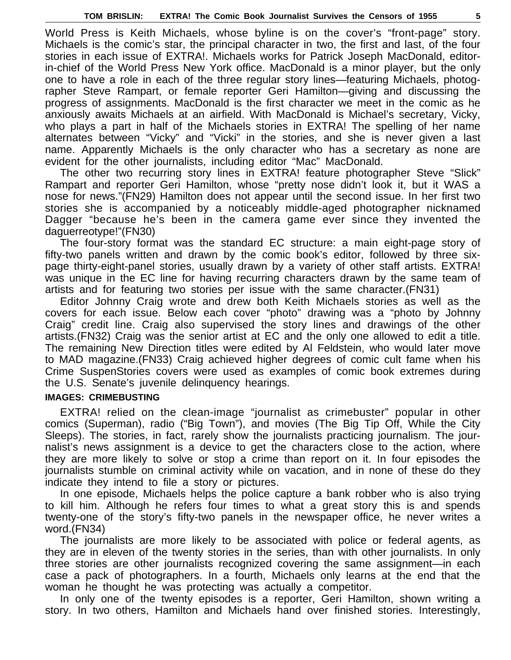World Press is Keith Michaels, whose byline is on the cover's "front-page" story. Michaels is the comic's star, the principal character in two, the first and last, of the four stories in each issue of EXTRA!. Michaels works for Patrick Joseph MacDonald, editorin-chief of the World Press New York office. MacDonald is a minor player, but the only one to have a role in each of the three regular story lines—featuring Michaels, photographer Steve Rampart, or female reporter Geri Hamilton—giving and discussing the progress of assignments. MacDonald is the first character we meet in the comic as he anxiously awaits Michaels at an airfield. With MacDonald is Michael's secretary, Vicky, who plays a part in half of the Michaels stories in EXTRA! The spelling of her name alternates between "Vicky" and "Vicki" in the stories, and she is never given a last name. Apparently Michaels is the only character who has a secretary as none are evident for the other journalists, including editor "Mac" MacDonald.

The other two recurring story lines in EXTRA! feature photographer Steve "Slick" Rampart and reporter Geri Hamilton, whose "pretty nose didn't look it, but it WAS a nose for news."(FN29) Hamilton does not appear until the second issue. In her first two stories she is accompanied by a noticeably middle-aged photographer nicknamed Dagger "because he's been in the camera game ever since they invented the daguerreotype!"(FN30)

The four-story format was the standard EC structure: a main eight-page story of fifty-two panels written and drawn by the comic book's editor, followed by three sixpage thirty-eight-panel stories, usually drawn by a variety of other staff artists. EXTRA! was unique in the EC line for having recurring characters drawn by the same team of artists and for featuring two stories per issue with the same character.(FN31)

Editor Johnny Craig wrote and drew both Keith Michaels stories as well as the covers for each issue. Below each cover "photo" drawing was a "photo by Johnny Craig" credit line. Craig also supervised the story lines and drawings of the other artists.(FN32) Craig was the senior artist at EC and the only one allowed to edit a title. The remaining New Direction titles were edited by Al Feldstein, who would later move to MAD magazine.(FN33) Craig achieved higher degrees of comic cult fame when his Crime SuspenStories covers were used as examples of comic book extremes during the U.S. Senate's juvenile delinquency hearings.

## **IMAGES: CRIMEBUSTING**

EXTRA! relied on the clean-image "journalist as crimebuster" popular in other comics (Superman), radio ("Big Town"), and movies (The Big Tip Off, While the City Sleeps). The stories, in fact, rarely show the journalists practicing journalism. The journalist's news assignment is a device to get the characters close to the action, where they are more likely to solve or stop a crime than report on it. In four episodes the journalists stumble on criminal activity while on vacation, and in none of these do they indicate they intend to file a story or pictures.

In one episode, Michaels helps the police capture a bank robber who is also trying to kill him. Although he refers four times to what a great story this is and spends twenty-one of the story's fifty-two panels in the newspaper office, he never writes a word.(FN34)

The journalists are more likely to be associated with police or federal agents, as they are in eleven of the twenty stories in the series, than with other journalists. In only three stories are other journalists recognized covering the same assignment—in each case a pack of photographers. In a fourth, Michaels only learns at the end that the woman he thought he was protecting was actually a competitor.

In only one of the twenty episodes is a reporter, Geri Hamilton, shown writing a story. In two others, Hamilton and Michaels hand over finished stories. Interestingly,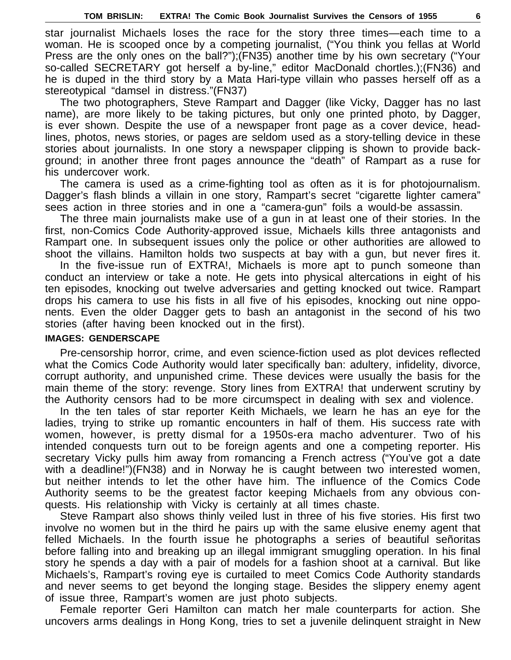star journalist Michaels loses the race for the story three times—each time to a woman. He is scooped once by a competing journalist, ("You think you fellas at World Press are the only ones on the ball?");(FN35) another time by his own secretary ("Your so-called SECRETARY got herself a by-line," editor MacDonald chortles.);(FN36) and he is duped in the third story by a Mata Hari-type villain who passes herself off as a stereotypical "damsel in distress."(FN37)

The two photographers, Steve Rampart and Dagger (like Vicky, Dagger has no last name), are more likely to be taking pictures, but only one printed photo, by Dagger, is ever shown. Despite the use of a newspaper front page as a cover device, headlines, photos, news stories, or pages are seldom used as a story-telling device in these stories about journalists. In one story a newspaper clipping is shown to provide background; in another three front pages announce the "death" of Rampart as a ruse for his undercover work.

The camera is used as a crime-fighting tool as often as it is for photojournalism. Dagger's flash blinds a villain in one story, Rampart's secret "cigarette lighter camera" sees action in three stories and in one a "camera-gun" foils a would-be assassin.

The three main journalists make use of a gun in at least one of their stories. In the first, non-Comics Code Authority-approved issue, Michaels kills three antagonists and Rampart one. In subsequent issues only the police or other authorities are allowed to shoot the villains. Hamilton holds two suspects at bay with a gun, but never fires it.

In the five-issue run of EXTRA!, Michaels is more apt to punch someone than conduct an interview or take a note. He gets into physical altercations in eight of his ten episodes, knocking out twelve adversaries and getting knocked out twice. Rampart drops his camera to use his fists in all five of his episodes, knocking out nine opponents. Even the older Dagger gets to bash an antagonist in the second of his two stories (after having been knocked out in the first).

## **IMAGES: GENDERSCAPE**

Pre-censorship horror, crime, and even science-fiction used as plot devices reflected what the Comics Code Authority would later specifically ban: adultery, infidelity, divorce, corrupt authority, and unpunished crime. These devices were usually the basis for the main theme of the story: revenge. Story lines from EXTRA! that underwent scrutiny by the Authority censors had to be more circumspect in dealing with sex and violence.

In the ten tales of star reporter Keith Michaels, we learn he has an eye for the ladies, trying to strike up romantic encounters in half of them. His success rate with women, however, is pretty dismal for a 1950s-era macho adventurer. Two of his intended conquests turn out to be foreign agents and one a competing reporter. His secretary Vicky pulls him away from romancing a French actress ("You've got a date with a deadline!")(FN38) and in Norway he is caught between two interested women, but neither intends to let the other have him. The influence of the Comics Code Authority seems to be the greatest factor keeping Michaels from any obvious conquests. His relationship with Vicky is certainly at all times chaste.

Steve Rampart also shows thinly veiled lust in three of his five stories. His first two involve no women but in the third he pairs up with the same elusive enemy agent that felled Michaels. In the fourth issue he photographs a series of beautiful señoritas before falling into and breaking up an illegal immigrant smuggling operation. In his final story he spends a day with a pair of models for a fashion shoot at a carnival. But like Michaels's, Rampart's roving eye is curtailed to meet Comics Code Authority standards and never seems to get beyond the longing stage. Besides the slippery enemy agent of issue three, Rampart's women are just photo subjects.

Female reporter Geri Hamilton can match her male counterparts for action. She uncovers arms dealings in Hong Kong, tries to set a juvenile delinquent straight in New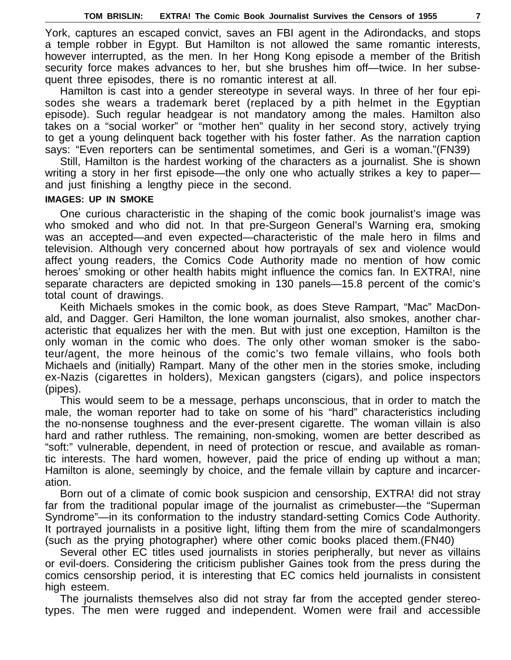York, captures an escaped convict, saves an FBI agent in the Adirondacks, and stops a temple robber in Egypt. But Hamilton is not allowed the same romantic interests, however interrupted, as the men. In her Hong Kong episode a member of the British security force makes advances to her, but she brushes him off—twice. In her subsequent three episodes, there is no romantic interest at all.

Hamilton is cast into a gender stereotype in several ways. In three of her four episodes she wears a trademark beret (replaced by a pith helmet in the Egyptian episode). Such regular headgear is not mandatory among the males. Hamilton also takes on a "social worker" or "mother hen" quality in her second story, actively trying to get a young delinquent back together with his foster father. As the narration caption says: "Even reporters can be sentimental sometimes, and Geri is a woman."(FN39)

Still, Hamilton is the hardest working of the characters as a journalist. She is shown writing a story in her first episode—the only one who actually strikes a key to paper and just finishing a lengthy piece in the second.

## **IMAGES: UP IN SMOKE**

One curious characteristic in the shaping of the comic book journalist's image was who smoked and who did not. In that pre-Surgeon General's Warning era, smoking was an accepted—and even expected—characteristic of the male hero in films and television. Although very concerned about how portrayals of sex and violence would affect young readers, the Comics Code Authority made no mention of how comic heroes' smoking or other health habits might influence the comics fan. In EXTRA!, nine separate characters are depicted smoking in 130 panels—15.8 percent of the comic's total count of drawings.

Keith Michaels smokes in the comic book, as does Steve Rampart, "Mac" MacDonald, and Dagger. Geri Hamilton, the lone woman journalist, also smokes, another characteristic that equalizes her with the men. But with just one exception, Hamilton is the only woman in the comic who does. The only other woman smoker is the saboteur/agent, the more heinous of the comic's two female villains, who fools both Michaels and (initially) Rampart. Many of the other men in the stories smoke, including ex-Nazis (cigarettes in holders), Mexican gangsters (cigars), and police inspectors (pipes).

This would seem to be a message, perhaps unconscious, that in order to match the male, the woman reporter had to take on some of his "hard" characteristics including the no-nonsense toughness and the ever-present cigarette. The woman villain is also hard and rather ruthless. The remaining, non-smoking, women are better described as "soft:" vulnerable, dependent, in need of protection or rescue, and available as romantic interests. The hard women, however, paid the price of ending up without a man; Hamilton is alone, seemingly by choice, and the female villain by capture and incarceration.

Born out of a climate of comic book suspicion and censorship, EXTRA! did not stray far from the traditional popular image of the journalist as crimebuster—the "Superman Syndrome"—in its conformation to the industry standard-setting Comics Code Authority. It portrayed journalists in a positive light, lifting them from the mire of scandalmongers (such as the prying photographer) where other comic books placed them.(FN40)

Several other EC titles used journalists in stories peripherally, but never as villains or evil-doers. Considering the criticism publisher Gaines took from the press during the comics censorship period, it is interesting that EC comics held journalists in consistent high esteem.

The journalists themselves also did not stray far from the accepted gender stereotypes. The men were rugged and independent. Women were frail and accessible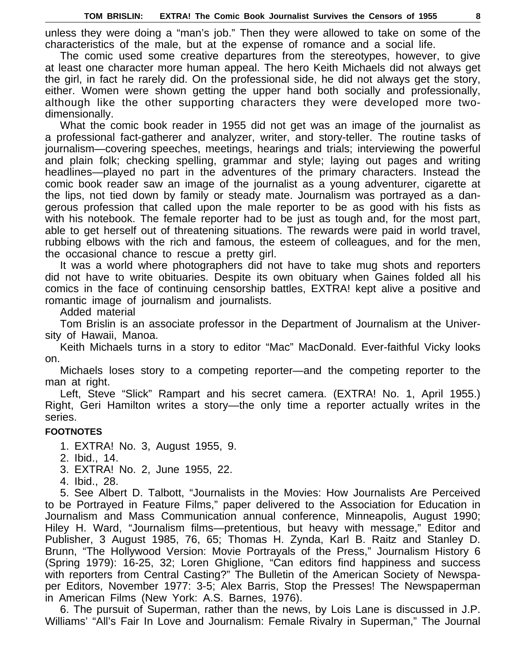unless they were doing a "man's job." Then they were allowed to take on some of the characteristics of the male, but at the expense of romance and a social life.

The comic used some creative departures from the stereotypes, however, to give at least one character more human appeal. The hero Keith Michaels did not always get the girl, in fact he rarely did. On the professional side, he did not always get the story, either. Women were shown getting the upper hand both socially and professionally, although like the other supporting characters they were developed more twodimensionally.

What the comic book reader in 1955 did not get was an image of the journalist as a professional fact-gatherer and analyzer, writer, and story-teller. The routine tasks of journalism—covering speeches, meetings, hearings and trials; interviewing the powerful and plain folk; checking spelling, grammar and style; laying out pages and writing headlines—played no part in the adventures of the primary characters. Instead the comic book reader saw an image of the journalist as a young adventurer, cigarette at the lips, not tied down by family or steady mate. Journalism was portrayed as a dangerous profession that called upon the male reporter to be as good with his fists as with his notebook. The female reporter had to be just as tough and, for the most part, able to get herself out of threatening situations. The rewards were paid in world travel, rubbing elbows with the rich and famous, the esteem of colleagues, and for the men, the occasional chance to rescue a pretty girl.

It was a world where photographers did not have to take mug shots and reporters did not have to write obituaries. Despite its own obituary when Gaines folded all his comics in the face of continuing censorship battles, EXTRA! kept alive a positive and romantic image of journalism and journalists.

Added material

Tom Brislin is an associate professor in the Department of Journalism at the University of Hawaii, Manoa.

Keith Michaels turns in a story to editor "Mac" MacDonald. Ever-faithful Vicky looks on.

Michaels loses story to a competing reporter—and the competing reporter to the man at right.

Left, Steve "Slick" Rampart and his secret camera. (EXTRA! No. 1, April 1955.) Right, Geri Hamilton writes a story—the only time a reporter actually writes in the series.

## **FOOTNOTES**

- 1. EXTRA! No. 3, August 1955, 9.
- 2. Ibid., 14.
- 3. EXTRA! No. 2, June 1955, 22.
- 4. Ibid., 28.

5. See Albert D. Talbott, "Journalists in the Movies: How Journalists Are Perceived to be Portrayed in Feature Films," paper delivered to the Association for Education in Journalism and Mass Communication annual conference, Minneapolis, August 1990; Hiley H. Ward, "Journalism films—pretentious, but heavy with message," Editor and Publisher, 3 August 1985, 76, 65; Thomas H. Zynda, Karl B. Raitz and Stanley D. Brunn, "The Hollywood Version: Movie Portrayals of the Press," Journalism History 6 (Spring 1979): 16-25, 32; Loren Ghiglione, "Can editors find happiness and success with reporters from Central Casting?" The Bulletin of the American Society of Newspaper Editors, November 1977: 3-5; Alex Barris, Stop the Presses! The Newspaperman in American Films (New York: A.S. Barnes, 1976).

6. The pursuit of Superman, rather than the news, by Lois Lane is discussed in J.P. Williams' "All's Fair In Love and Journalism: Female Rivalry in Superman," The Journal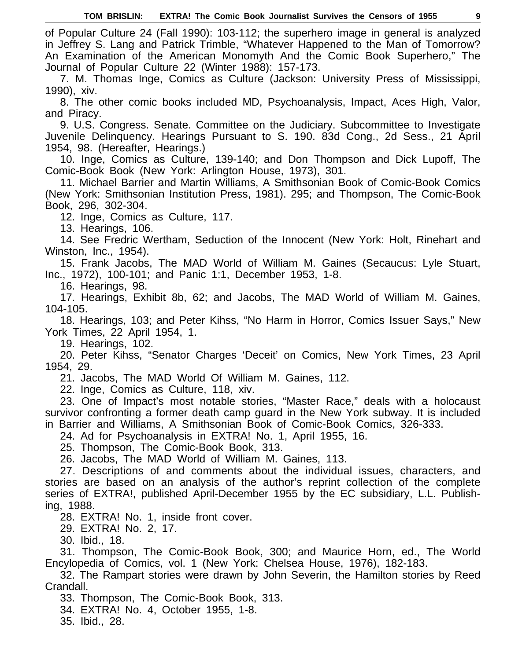of Popular Culture 24 (Fall 1990): 103-112; the superhero image in general is analyzed in Jeffrey S. Lang and Patrick Trimble, "Whatever Happened to the Man of Tomorrow? An Examination of the American Monomyth And the Comic Book Superhero," The Journal of Popular Culture 22 (Winter 1988): 157-173.

7. M. Thomas Inge, Comics as Culture (Jackson: University Press of Mississippi, 1990), xiv.

8. The other comic books included MD, Psychoanalysis, Impact, Aces High, Valor, and Piracy.

9. U.S. Congress. Senate. Committee on the Judiciary. Subcommittee to Investigate Juvenile Delinquency. Hearings Pursuant to S. 190. 83d Cong., 2d Sess., 21 April 1954, 98. (Hereafter, Hearings.)

10. Inge, Comics as Culture, 139-140; and Don Thompson and Dick Lupoff, The Comic-Book Book (New York: Arlington House, 1973), 301.

11. Michael Barrier and Martin Williams, A Smithsonian Book of Comic-Book Comics (New York: Smithsonian Institution Press, 1981). 295; and Thompson, The Comic-Book Book, 296, 302-304.

12. Inge, Comics as Culture, 117.

13. Hearings, 106.

14. See Fredric Wertham, Seduction of the Innocent (New York: Holt, Rinehart and Winston, Inc., 1954).

15. Frank Jacobs, The MAD World of William M. Gaines (Secaucus: Lyle Stuart, Inc., 1972), 100-101; and Panic 1:1, December 1953, 1-8.

16. Hearings, 98.

17. Hearings, Exhibit 8b, 62; and Jacobs, The MAD World of William M. Gaines, 104-105.

18. Hearings, 103; and Peter Kihss, "No Harm in Horror, Comics Issuer Says," New York Times, 22 April 1954, 1.

19. Hearings, 102.

20. Peter Kihss, "Senator Charges 'Deceit' on Comics, New York Times, 23 April 1954, 29.

21. Jacobs, The MAD World Of William M. Gaines, 112.

22. Inge, Comics as Culture, 118, xiv.

23. One of Impact's most notable stories, "Master Race," deals with a holocaust survivor confronting a former death camp guard in the New York subway. It is included in Barrier and Williams, A Smithsonian Book of Comic-Book Comics, 326-333.

24. Ad for Psychoanalysis in EXTRA! No. 1, April 1955, 16.

25. Thompson, The Comic-Book Book, 313.

26. Jacobs, The MAD World of William M. Gaines, 113.

27. Descriptions of and comments about the individual issues, characters, and stories are based on an analysis of the author's reprint collection of the complete series of EXTRA!, published April-December 1955 by the EC subsidiary, L.L. Publishing, 1988.

28. EXTRA! No. 1, inside front cover.

29. EXTRA! No. 2, 17.

30. Ibid., 18.

31. Thompson, The Comic-Book Book, 300; and Maurice Horn, ed., The World Encylopedia of Comics, vol. 1 (New York: Chelsea House, 1976), 182-183.

32. The Rampart stories were drawn by John Severin, the Hamilton stories by Reed Crandall.

33. Thompson, The Comic-Book Book, 313.

34. EXTRA! No. 4, October 1955, 1-8.

35. Ibid., 28.